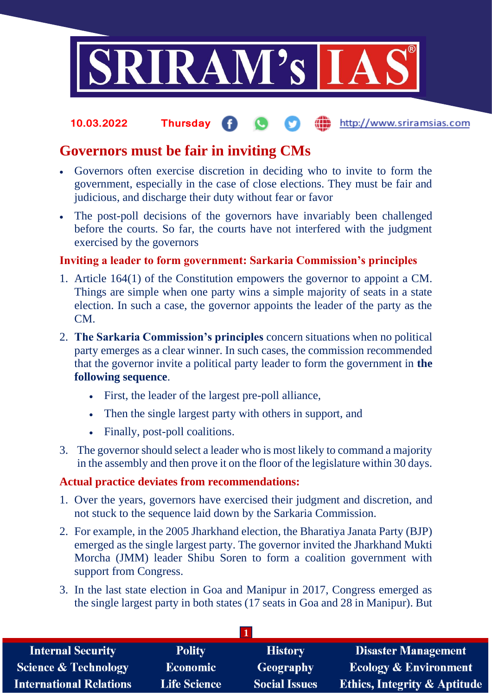

### **fin** http://www.sriramsias.com **10.03.2022 Thursday**

## **Governors must be fair in inviting CMs**

- Governors often exercise discretion in deciding who to invite to form the government, especially in the case of close elections. They must be fair and judicious, and discharge their duty without fear or favor
- The post-poll decisions of the governors have invariably been challenged before the courts. So far, the courts have not interfered with the judgment exercised by the governors

## **Inviting a leader to form government: Sarkaria Commission's principles**

- 1. Article 164(1) of the Constitution empowers the governor to appoint a CM. Things are simple when one party wins a simple majority of seats in a state election. In such a case, the governor appoints the leader of the party as the CM.
- 2. **The Sarkaria Commission's principles** concern situations when no political party emerges as a clear winner. In such cases, the commission recommended that the governor invite a political party leader to form the government in **the following sequence**.
	- First, the leader of the largest pre-poll alliance,
	- Then the single largest party with others in support, and
	- Finally, post-poll coalitions.
- 3. The governor should select a leader who is most likely to command a majority in the assembly and then prove it on the floor of the legislature within 30 days.

## **Actual practice deviates from recommendations:**

- 1. Over the years, governors have exercised their judgment and discretion, and not stuck to the sequence laid down by the Sarkaria Commission.
- 2. For example, in the 2005 Jharkhand election, the Bharatiya Janata Party (BJP) emerged as the single largest party. The governor invited the Jharkhand Mukti Morcha (JMM) leader Shibu Soren to form a coalition government with support from Congress.
- 3. In the last state election in Goa and Manipur in 2017, Congress emerged as the single largest party in both states (17 seats in Goa and 28 in Manipur). But

| <b>Internal Security</b>        | <b>Polity</b>       | <b>History</b>       | <b>Disaster Management</b>              |
|---------------------------------|---------------------|----------------------|-----------------------------------------|
| <b>Science &amp; Technology</b> | <b>Economic</b>     | Geography            | <b>Ecology &amp; Environment</b>        |
| <b>International Relations</b>  | <b>Life Science</b> | <b>Social Issues</b> | <b>Ethics, Integrity &amp; Aptitude</b> |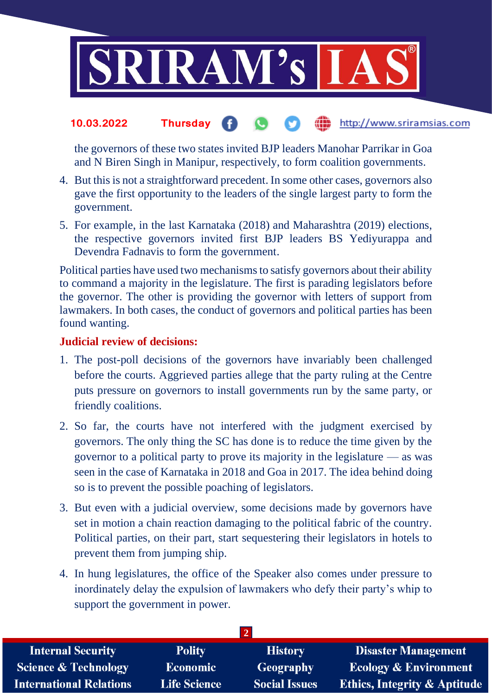

### the http://www.sriramsias.com **10.03.2022 Thursday**

the governors of these two states invited BJP leaders Manohar Parrikar in Goa and N Biren Singh in Manipur, respectively, to form coalition governments.

- 4. But this is not a straightforward precedent. In some other cases, governors also gave the first opportunity to the leaders of the single largest party to form the government.
- 5. For example, in the last Karnataka (2018) and Maharashtra (2019) elections, the respective governors invited first BJP leaders BS Yediyurappa and Devendra Fadnavis to form the government.

Political parties have used two mechanisms to satisfy governors about their ability to command a majority in the legislature. The first is parading legislators before the governor. The other is providing the governor with letters of support from lawmakers. In both cases, the conduct of governors and political parties has been found wanting.

## **Judicial review of decisions:**

- 1. The post-poll decisions of the governors have invariably been challenged before the courts. Aggrieved parties allege that the party ruling at the Centre puts pressure on governors to install governments run by the same party, or friendly coalitions.
- 2. So far, the courts have not interfered with the judgment exercised by governors. The only thing the SC has done is to reduce the time given by the governor to a political party to prove its majority in the legislature — as was seen in the case of Karnataka in 2018 and Goa in 2017. The idea behind doing so is to prevent the possible poaching of legislators.
- 3. But even with a judicial overview, some decisions made by governors have set in motion a chain reaction damaging to the political fabric of the country. Political parties, on their part, start sequestering their legislators in hotels to prevent them from jumping ship.
- 4. In hung legislatures, the office of the Speaker also comes under pressure to inordinately delay the expulsion of lawmakers who defy their party's whip to support the government in power.

| <b>Internal Security</b>        | <b>Polity</b>       | <b>History</b>       | <b>Disaster Management</b>              |
|---------------------------------|---------------------|----------------------|-----------------------------------------|
| <b>Science &amp; Technology</b> | <b>Economic</b>     | <b>Geography</b>     | <b>Ecology &amp; Environment</b>        |
| <b>International Relations</b>  | <b>Life Science</b> | <b>Social Issues</b> | <b>Ethics, Integrity &amp; Aptitude</b> |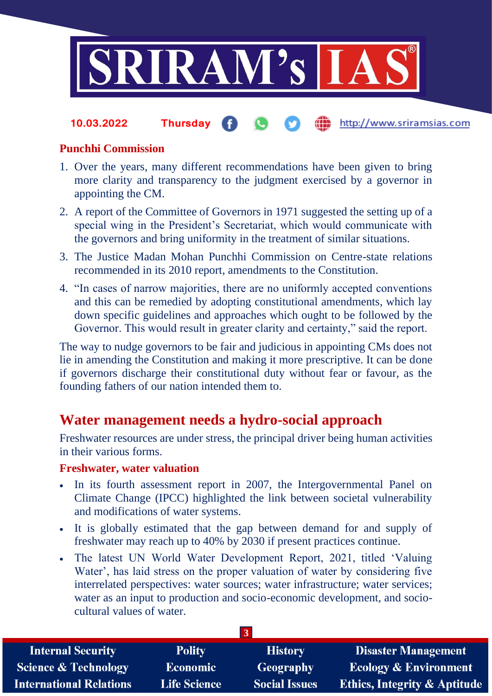

### http://www.sriramsias.com **10.03.2022 Thursday**

## **Punchhi Commission**

- 1. Over the years, many different recommendations have been given to bring more clarity and transparency to the judgment exercised by a governor in appointing the CM.
- 2. A report of the Committee of Governors in 1971 suggested the setting up of a special wing in the President's Secretariat, which would communicate with the governors and bring uniformity in the treatment of similar situations.
- 3. The Justice Madan Mohan Punchhi Commission on Centre-state relations recommended in its 2010 report, amendments to the Constitution.
- 4. "In cases of narrow majorities, there are no uniformly accepted conventions and this can be remedied by adopting constitutional amendments, which lay down specific guidelines and approaches which ought to be followed by the Governor. This would result in greater clarity and certainty," said the report.

The way to nudge governors to be fair and judicious in appointing CMs does not lie in amending the Constitution and making it more prescriptive. It can be done if governors discharge their constitutional duty without fear or favour, as the founding fathers of our nation intended them to.

# **Water management needs a hydro-social approach**

Freshwater resources are under stress, the principal driver being human activities in their various forms.

## **Freshwater, water valuation**

- In its fourth assessment report in 2007, the Intergovernmental Panel on Climate Change (IPCC) highlighted the link between societal vulnerability and modifications of water systems.
- It is globally estimated that the gap between demand for and supply of freshwater may reach up to 40% by 2030 if present practices continue.
- The latest UN World Water Development Report, 2021, titled 'Valuing Water', has laid stress on the proper valuation of water by considering five interrelated perspectives: water sources; water infrastructure; water services; water as an input to production and socio-economic development, and sociocultural values of water.

| <b>Internal Security</b>        | <b>Polity</b>       | <b>History</b>       | <b>Disaster Management</b>              |
|---------------------------------|---------------------|----------------------|-----------------------------------------|
| <b>Science &amp; Technology</b> | <b>Economic</b>     | Geography            | <b>Ecology &amp; Environment</b>        |
| <b>International Relations</b>  | <b>Life Science</b> | <b>Social Issues</b> | <b>Ethics, Integrity &amp; Aptitude</b> |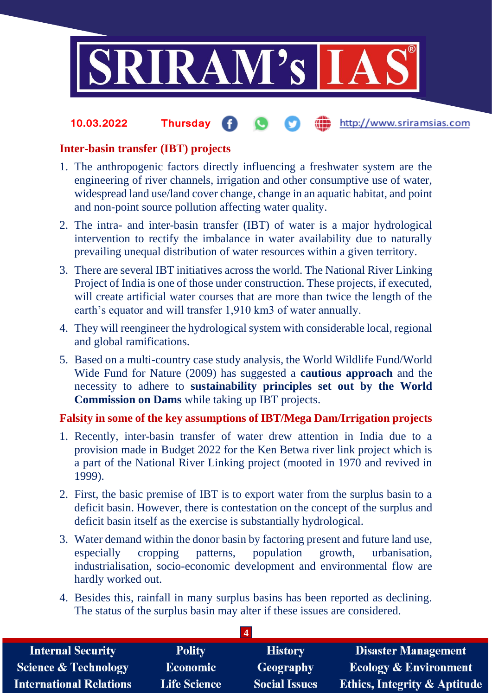

### **10.03.2022 Thursday** the http://www.sriramsias.com

## **Inter-basin transfer (IBT) projects**

- 1. The anthropogenic factors directly influencing a freshwater system are the engineering of river channels, irrigation and other consumptive use of water, widespread land use/land cover change, change in an aquatic habitat, and point and non-point source pollution affecting water quality.
- 2. The intra- and inter-basin transfer (IBT) of water is a major hydrological intervention to rectify the imbalance in water availability due to naturally prevailing unequal distribution of water resources within a given territory.
- 3. There are several IBT initiatives across the world. The National River Linking Project of India is one of those under construction. These projects, if executed, will create artificial water courses that are more than twice the length of the earth's equator and will transfer 1,910 km3 of water annually.
- 4. They will reengineer the hydrological system with considerable local, regional and global ramifications.
- 5. Based on a multi-country case study analysis, the World Wildlife Fund/World Wide Fund for Nature (2009) has suggested a **cautious approach** and the necessity to adhere to **sustainability principles set out by the World Commission on Dams** while taking up IBT projects.

**Falsity in some of the key assumptions of IBT/Mega Dam/Irrigation projects**

- 1. Recently, inter-basin transfer of water drew attention in India due to a provision made in Budget 2022 for the Ken Betwa river link project which is a part of the National River Linking project (mooted in 1970 and revived in 1999).
- 2. First, the basic premise of IBT is to export water from the surplus basin to a deficit basin. However, there is contestation on the concept of the surplus and deficit basin itself as the exercise is substantially hydrological.
- 3. Water demand within the donor basin by factoring present and future land use, especially cropping patterns, population growth, urbanisation, industrialisation, socio-economic development and environmental flow are hardly worked out.
- 4. Besides this, rainfall in many surplus basins has been reported as declining. The status of the surplus basin may alter if these issues are considered.

| <b>Internal Security</b>        | <b>Polity</b>       | <b>History</b>       | <b>Disaster Management</b>              |
|---------------------------------|---------------------|----------------------|-----------------------------------------|
| <b>Science &amp; Technology</b> | <b>Economic</b>     | <b>Geography</b>     | <b>Ecology &amp; Environment</b>        |
| <b>International Relations</b>  | <b>Life Science</b> | <b>Social Issues</b> | <b>Ethics, Integrity &amp; Aptitude</b> |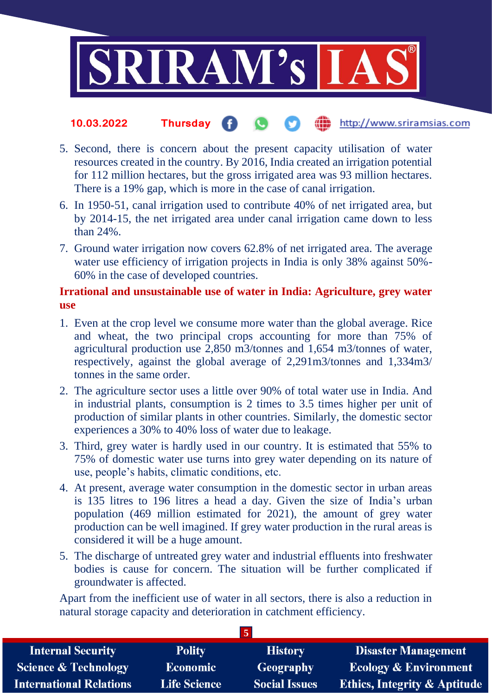

#### the http://www.sriramsias.com **10.03.2022 Thursday**

- 5. Second, there is concern about the present capacity utilisation of water resources created in the country. By 2016, India created an irrigation potential for 112 million hectares, but the gross irrigated area was 93 million hectares. There is a 19% gap, which is more in the case of canal irrigation.
- 6. In 1950-51, canal irrigation used to contribute 40% of net irrigated area, but by 2014-15, the net irrigated area under canal irrigation came down to less than 24%.
- 7. Ground water irrigation now covers 62.8% of net irrigated area. The average water use efficiency of irrigation projects in India is only 38% against 50%- 60% in the case of developed countries.

## **Irrational and unsustainable use of water in India: Agriculture, grey water use**

- 1. Even at the crop level we consume more water than the global average. Rice and wheat, the two principal crops accounting for more than 75% of agricultural production use 2,850 m3/tonnes and 1,654 m3/tonnes of water, respectively, against the global average of 2,291m3/tonnes and 1,334m3/ tonnes in the same order.
- 2. The agriculture sector uses a little over 90% of total water use in India. And in industrial plants, consumption is 2 times to 3.5 times higher per unit of production of similar plants in other countries. Similarly, the domestic sector experiences a 30% to 40% loss of water due to leakage.
- 3. Third, grey water is hardly used in our country. It is estimated that 55% to 75% of domestic water use turns into grey water depending on its nature of use, people's habits, climatic conditions, etc.
- 4. At present, average water consumption in the domestic sector in urban areas is 135 litres to 196 litres a head a day. Given the size of India's urban population (469 million estimated for 2021), the amount of grey water production can be well imagined. If grey water production in the rural areas is considered it will be a huge amount.
- 5. The discharge of untreated grey water and industrial effluents into freshwater bodies is cause for concern. The situation will be further complicated if groundwater is affected.

Apart from the inefficient use of water in all sectors, there is also a reduction in natural storage capacity and deterioration in catchment efficiency.

| <b>Internal Security</b>        | <b>Polity</b>       | <b>History</b>       | <b>Disaster Management</b>              |
|---------------------------------|---------------------|----------------------|-----------------------------------------|
| <b>Science &amp; Technology</b> | <b>Economic</b>     | Geography            | <b>Ecology &amp; Environment</b>        |
| <b>International Relations</b>  | <b>Life Science</b> | <b>Social Issues</b> | <b>Ethics, Integrity &amp; Aptitude</b> |